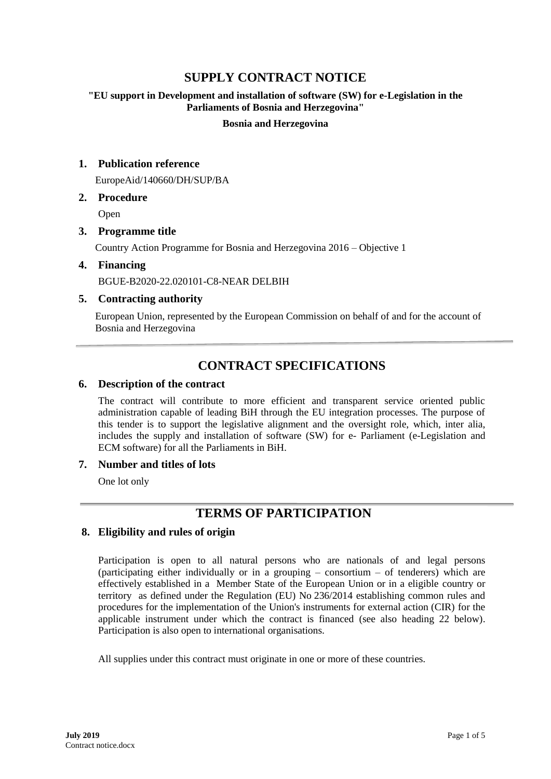# **SUPPLY CONTRACT NOTICE**

### **"EU support in Development and installation of software (SW) for e-Legislation in the Parliaments of Bosnia and Herzegovina"**

#### **Bosnia and Herzegovina**

### **1. Publication reference**

EuropeAid/140660/DH/SUP/BA

#### **2. Procedure**

Open

# **3. Programme title**

Country Action Programme for Bosnia and Herzegovina 2016 – Objective 1

#### **4. Financing**

BGUE-B2020-22.020101-C8-NEAR DELBIH

#### **5. Contracting authority**

European Union, represented by the European Commission on behalf of and for the account of Bosnia and Herzegovina

# **CONTRACT SPECIFICATIONS**

#### **6. Description of the contract**

The contract will contribute to more efficient and transparent service oriented public administration capable of leading BiH through the EU integration processes. The purpose of this tender is to support the legislative alignment and the oversight role, which, inter alia, includes the supply and installation of software (SW) for e- Parliament (e-Legislation and ECM software) for all the Parliaments in BiH.

#### **7. Number and titles of lots**

One lot only

# **TERMS OF PARTICIPATION**

# **8. Eligibility and rules of origin**

Participation is open to all natural persons who are nationals of and legal persons (participating either individually or in a grouping – consortium – of tenderers) which are effectively established in a Member State of the European Union or in a eligible country or territory as defined under the Regulation (EU) No 236/2014 establishing common rules and procedures for the implementation of the Union's instruments for external action (CIR) for the applicable instrument under which the contract is financed (see also heading 22 below). Participation is also open to international organisations.

All supplies under this contract must originate in one or more of these countries.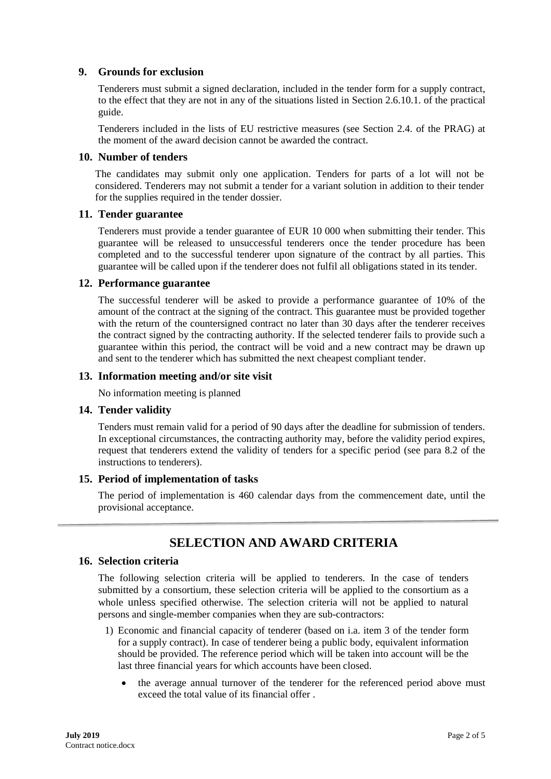# **9. Grounds for exclusion**

Tenderers must submit a signed declaration, included in the tender form for a supply contract, to the effect that they are not in any of the situations listed in Section 2.6.10.1. of the practical guide.

Tenderers included in the lists of EU restrictive measures (see Section 2.4. of the PRAG) at the moment of the award decision cannot be awarded the contract.

#### **10. Number of tenders**

The candidates may submit only one application. Tenders for parts of a lot will not be considered. Tenderers may not submit a tender for a variant solution in addition to their tender for the supplies required in the tender dossier.

#### **11. Tender guarantee**

Tenderers must provide a tender guarantee of EUR 10 000 when submitting their tender. This guarantee will be released to unsuccessful tenderers once the tender procedure has been completed and to the successful tenderer upon signature of the contract by all parties. This guarantee will be called upon if the tenderer does not fulfil all obligations stated in its tender.

#### **12. Performance guarantee**

The successful tenderer will be asked to provide a performance guarantee of 10% of the amount of the contract at the signing of the contract. This guarantee must be provided together with the return of the countersigned contract no later than 30 days after the tenderer receives the contract signed by the contracting authority. If the selected tenderer fails to provide such a guarantee within this period, the contract will be void and a new contract may be drawn up and sent to the tenderer which has submitted the next cheapest compliant tender.

#### **13. Information meeting and/or site visit**

No information meeting is planned

#### **14. Tender validity**

Tenders must remain valid for a period of 90 days after the deadline for submission of tenders. In exceptional circumstances, the contracting authority may, before the validity period expires, request that tenderers extend the validity of tenders for a specific period (see para 8.2 of the instructions to tenderers).

#### **15. Period of implementation of tasks**

The period of implementation is 460 calendar days from the commencement date, until the provisional acceptance.

# **SELECTION AND AWARD CRITERIA**

# **16. Selection criteria**

The following selection criteria will be applied to tenderers. In the case of tenders submitted by a consortium, these selection criteria will be applied to the consortium as a whole unless specified otherwise. The selection criteria will not be applied to natural persons and single-member companies when they are sub-contractors:

- 1) Economic and financial capacity of tenderer (based on i.a. item 3 of the tender form for a supply contract). In case of tenderer being a public body, equivalent information should be provided. The reference period which will be taken into account will be the last three financial years for which accounts have been closed.
	- the average annual turnover of the tenderer for the referenced period above must exceed the total value of its financial offer .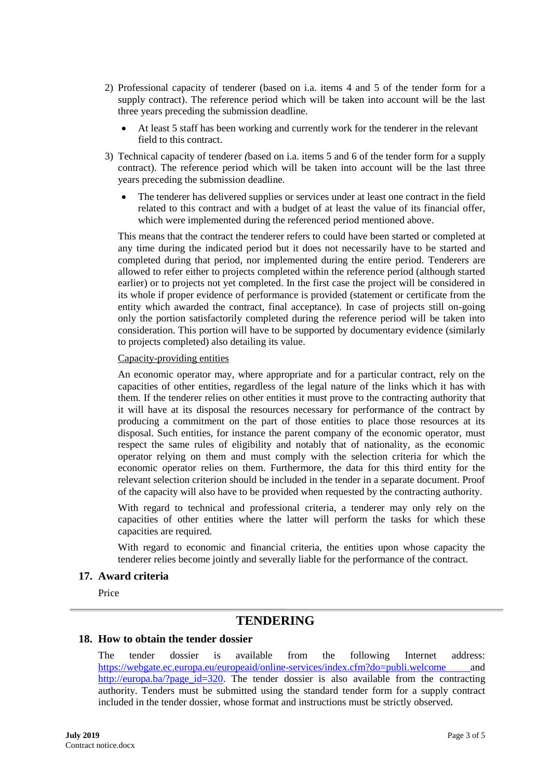- 2) Professional capacity of tenderer (based on i.a. items 4 and 5 of the tender form for a supply contract). The reference period which will be taken into account will be the last three years preceding the submission deadline.
	- At least 5 staff has been working and currently work for the tenderer in the relevant field to this contract.
- 3) Technical capacity of tenderer *(*based on i.a. items 5 and 6 of the tender form for a supply contract). The reference period which will be taken into account will be the last three years preceding the submission deadline.
	- The tenderer has delivered supplies or services under at least one contract in the field related to this contract and with a budget of at least the value of its financial offer, which were implemented during the referenced period mentioned above.

This means that the contract the tenderer refers to could have been started or completed at any time during the indicated period but it does not necessarily have to be started and completed during that period, nor implemented during the entire period. Tenderers are allowed to refer either to projects completed within the reference period (although started earlier) or to projects not yet completed. In the first case the project will be considered in its whole if proper evidence of performance is provided (statement or certificate from the entity which awarded the contract, final acceptance). In case of projects still on-going only the portion satisfactorily completed during the reference period will be taken into consideration. This portion will have to be supported by documentary evidence (similarly to projects completed) also detailing its value.

#### Capacity-providing entities

An economic operator may, where appropriate and for a particular contract, rely on the capacities of other entities, regardless of the legal nature of the links which it has with them. If the tenderer relies on other entities it must prove to the contracting authority that it will have at its disposal the resources necessary for performance of the contract by producing a commitment on the part of those entities to place those resources at its disposal. Such entities, for instance the parent company of the economic operator, must respect the same rules of eligibility and notably that of nationality, as the economic operator relying on them and must comply with the selection criteria for which the economic operator relies on them. Furthermore, the data for this third entity for the relevant selection criterion should be included in the tender in a separate document. Proof of the capacity will also have to be provided when requested by the contracting authority.

With regard to technical and professional criteria, a tenderer may only rely on the capacities of other entities where the latter will perform the tasks for which these capacities are required.

With regard to economic and financial criteria, the entities upon whose capacity the tenderer relies become jointly and severally liable for the performance of the contract.

#### **17. Award criteria**

Price

# **TENDERING**

#### **18. How to obtain the tender dossier**

The tender dossier is available from the following Internet address: <https://webgate.ec.europa.eu/europeaid/online-services/index.cfm?do=publi.welcome> and http://europa.ba/?page\_id=320. The tender dossier is also available from the contracting authority. Tenders must be submitted using the standard tender form for a supply contract included in the tender dossier, whose format and instructions must be strictly observed.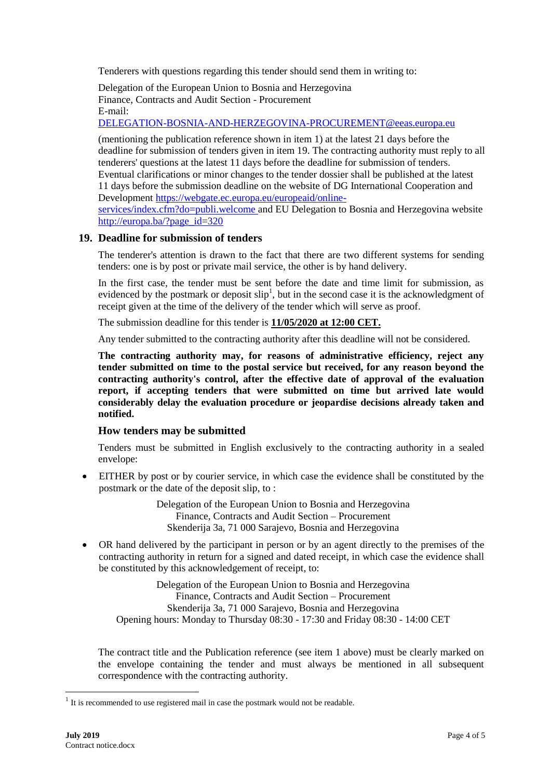Tenderers with questions regarding this tender should send them in writing to:

Delegation of the European Union to Bosnia and Herzegovina Finance, Contracts and Audit Section - Procurement E-mail:

[DELEGATION-BOSNIA-AND-HERZEGOVINA-PROCUREMENT@eeas.europa.eu](mailto:DELEGATION-BOSNIA-AND-HERZEGOVINA-PROCUREMENT@eeas.europa.eu)

(mentioning the publication reference shown in item 1) at the latest 21 days before the deadline for submission of tenders given in item 19. The contracting authority must reply to all tenderers' questions at the latest 11 days before the deadline for submission of tenders. Eventual clarifications or minor changes to the tender dossier shall be published at the latest 11 days before the submission deadline on the website of DG International Cooperation and Development [https://webgate.ec.europa.eu/europeaid/online](https://webgate.ec.europa.eu/europeaid/online-services/index.cfm?do=publi.welcome)[services/index.cfm?do=publi.welcome](https://webgate.ec.europa.eu/europeaid/online-services/index.cfm?do=publi.welcome) and EU Delegation to Bosnia and Herzegovina website http://europa.ba/?page\_id=320

#### **19. Deadline for submission of tenders**

The tenderer's attention is drawn to the fact that there are two different systems for sending tenders: one is by post or private mail service, the other is by hand delivery.

In the first case, the tender must be sent before the date and time limit for submission, as evidenced by the postmark or deposit  $\text{slip}^1$ , but in the second case it is the acknowledgment of receipt given at the time of the delivery of the tender which will serve as proof.

The submission deadline for this tender is **11/05/2020 at 12:00 CET.**

Any tender submitted to the contracting authority after this deadline will not be considered.

**The contracting authority may, for reasons of administrative efficiency, reject any tender submitted on time to the postal service but received, for any reason beyond the contracting authority's control, after the effective date of approval of the evaluation report, if accepting tenders that were submitted on time but arrived late would considerably delay the evaluation procedure or jeopardise decisions already taken and notified.**

#### **How tenders may be submitted**

Tenders must be submitted in English exclusively to the contracting authority in a sealed envelope:

 EITHER by post or by courier service, in which case the evidence shall be constituted by the postmark or the date of the deposit slip, to :

> Delegation of the European Union to Bosnia and Herzegovina Finance, Contracts and Audit Section – Procurement Skenderija 3a, 71 000 Sarajevo, Bosnia and Herzegovina

 OR hand delivered by the participant in person or by an agent directly to the premises of the contracting authority in return for a signed and dated receipt, in which case the evidence shall be constituted by this acknowledgement of receipt, to:

Delegation of the European Union to Bosnia and Herzegovina Finance, Contracts and Audit Section – Procurement Skenderija 3a, 71 000 Sarajevo, Bosnia and Herzegovina Opening hours: Monday to Thursday 08:30 - 17:30 and Friday 08:30 - 14:00 CET

The contract title and the Publication reference (see item 1 above) must be clearly marked on the envelope containing the tender and must always be mentioned in all subsequent correspondence with the contracting authority.

1

 $1$  It is recommended to use registered mail in case the postmark would not be readable.